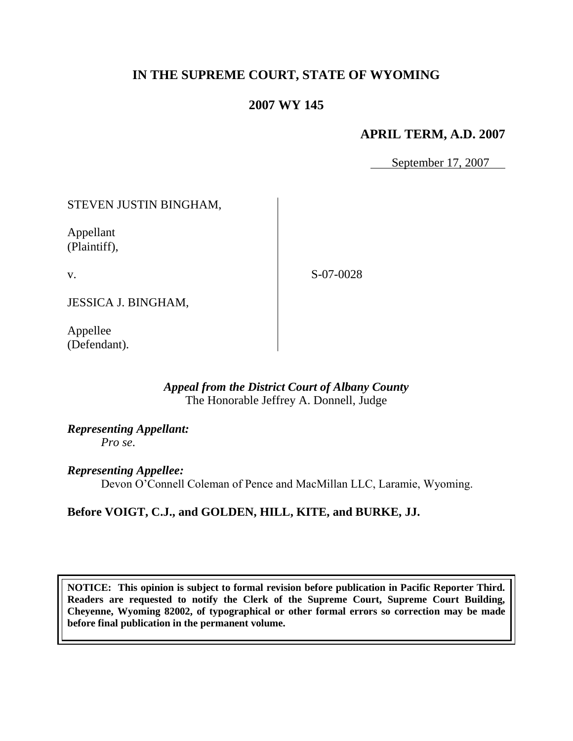# **IN THE SUPREME COURT, STATE OF WYOMING**

# **2007 WY 145**

## **APRIL TERM, A.D. 2007**

September 17, 2007

### STEVEN JUSTIN BINGHAM,

Appellant (Plaintiff),

v.

S-07-0028

JESSICA J. BINGHAM,

Appellee (Defendant).

### *Appeal from the District Court of Albany County* The Honorable Jeffrey A. Donnell, Judge

*Representing Appellant: Pro se*.

*Representing Appellee:*

Devon O"Connell Coleman of Pence and MacMillan LLC, Laramie, Wyoming.

## **Before VOIGT, C.J., and GOLDEN, HILL, KITE, and BURKE, JJ.**

**NOTICE: This opinion is subject to formal revision before publication in Pacific Reporter Third. Readers are requested to notify the Clerk of the Supreme Court, Supreme Court Building, Cheyenne, Wyoming 82002, of typographical or other formal errors so correction may be made before final publication in the permanent volume.**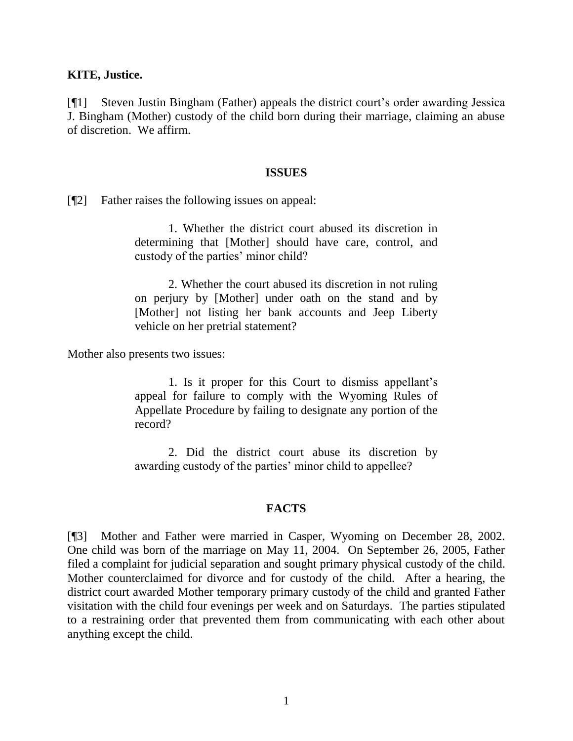#### **KITE, Justice.**

[¶1] Steven Justin Bingham (Father) appeals the district court"s order awarding Jessica J. Bingham (Mother) custody of the child born during their marriage, claiming an abuse of discretion. We affirm.

#### **ISSUES**

[¶2] Father raises the following issues on appeal:

1. Whether the district court abused its discretion in determining that [Mother] should have care, control, and custody of the parties' minor child?

2. Whether the court abused its discretion in not ruling on perjury by [Mother] under oath on the stand and by [Mother] not listing her bank accounts and Jeep Liberty vehicle on her pretrial statement?

Mother also presents two issues:

1. Is it proper for this Court to dismiss appellant"s appeal for failure to comply with the Wyoming Rules of Appellate Procedure by failing to designate any portion of the record?

2. Did the district court abuse its discretion by awarding custody of the parties' minor child to appellee?

#### **FACTS**

[¶3] Mother and Father were married in Casper, Wyoming on December 28, 2002. One child was born of the marriage on May 11, 2004. On September 26, 2005, Father filed a complaint for judicial separation and sought primary physical custody of the child. Mother counterclaimed for divorce and for custody of the child. After a hearing, the district court awarded Mother temporary primary custody of the child and granted Father visitation with the child four evenings per week and on Saturdays. The parties stipulated to a restraining order that prevented them from communicating with each other about anything except the child.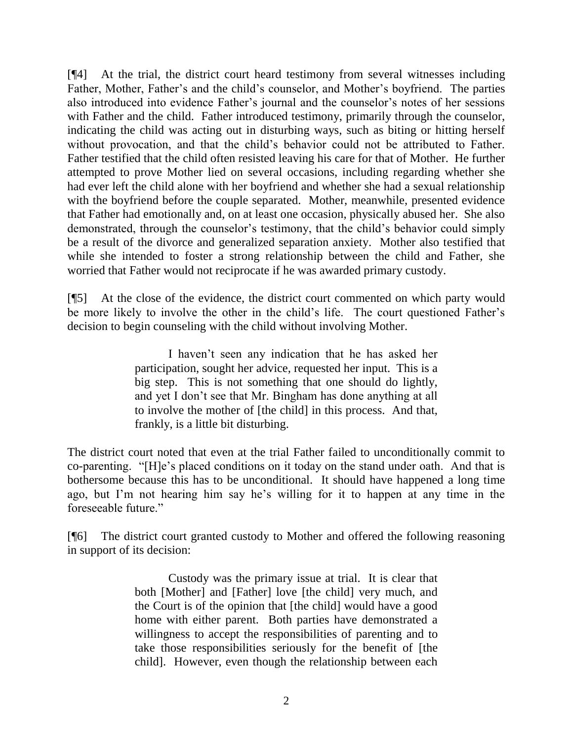[¶4] At the trial, the district court heard testimony from several witnesses including Father, Mother, Father's and the child's counselor, and Mother's boyfriend. The parties also introduced into evidence Father"s journal and the counselor"s notes of her sessions with Father and the child. Father introduced testimony, primarily through the counselor, indicating the child was acting out in disturbing ways, such as biting or hitting herself without provocation, and that the child's behavior could not be attributed to Father. Father testified that the child often resisted leaving his care for that of Mother. He further attempted to prove Mother lied on several occasions, including regarding whether she had ever left the child alone with her boyfriend and whether she had a sexual relationship with the boyfriend before the couple separated. Mother, meanwhile, presented evidence that Father had emotionally and, on at least one occasion, physically abused her. She also demonstrated, through the counselor's testimony, that the child's behavior could simply be a result of the divorce and generalized separation anxiety. Mother also testified that while she intended to foster a strong relationship between the child and Father, she worried that Father would not reciprocate if he was awarded primary custody.

[¶5] At the close of the evidence, the district court commented on which party would be more likely to involve the other in the child's life. The court questioned Father's decision to begin counseling with the child without involving Mother.

> I haven"t seen any indication that he has asked her participation, sought her advice, requested her input. This is a big step. This is not something that one should do lightly, and yet I don"t see that Mr. Bingham has done anything at all to involve the mother of [the child] in this process. And that, frankly, is a little bit disturbing.

The district court noted that even at the trial Father failed to unconditionally commit to co-parenting. "[H]e"s placed conditions on it today on the stand under oath. And that is bothersome because this has to be unconditional. It should have happened a long time ago, but I"m not hearing him say he"s willing for it to happen at any time in the foreseeable future."

[¶6] The district court granted custody to Mother and offered the following reasoning in support of its decision:

> Custody was the primary issue at trial. It is clear that both [Mother] and [Father] love [the child] very much, and the Court is of the opinion that [the child] would have a good home with either parent. Both parties have demonstrated a willingness to accept the responsibilities of parenting and to take those responsibilities seriously for the benefit of [the child]. However, even though the relationship between each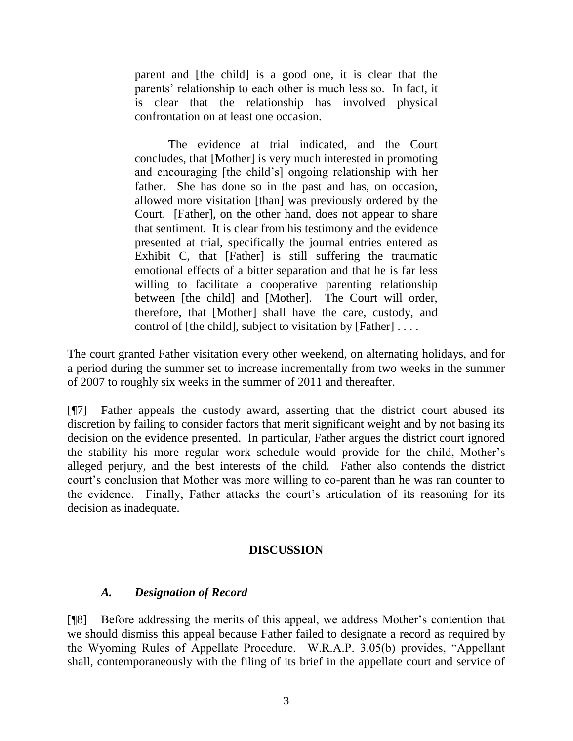parent and [the child] is a good one, it is clear that the parents' relationship to each other is much less so. In fact, it is clear that the relationship has involved physical confrontation on at least one occasion.

The evidence at trial indicated, and the Court concludes, that [Mother] is very much interested in promoting and encouraging [the child"s] ongoing relationship with her father. She has done so in the past and has, on occasion, allowed more visitation [than] was previously ordered by the Court. [Father], on the other hand, does not appear to share that sentiment. It is clear from his testimony and the evidence presented at trial, specifically the journal entries entered as Exhibit C, that [Father] is still suffering the traumatic emotional effects of a bitter separation and that he is far less willing to facilitate a cooperative parenting relationship between [the child] and [Mother]. The Court will order, therefore, that [Mother] shall have the care, custody, and control of [the child], subject to visitation by [Father] . . . .

The court granted Father visitation every other weekend, on alternating holidays, and for a period during the summer set to increase incrementally from two weeks in the summer of 2007 to roughly six weeks in the summer of 2011 and thereafter.

[¶7] Father appeals the custody award, asserting that the district court abused its discretion by failing to consider factors that merit significant weight and by not basing its decision on the evidence presented. In particular, Father argues the district court ignored the stability his more regular work schedule would provide for the child, Mother"s alleged perjury, and the best interests of the child. Father also contends the district court's conclusion that Mother was more willing to co-parent than he was ran counter to the evidence. Finally, Father attacks the court's articulation of its reasoning for its decision as inadequate.

## **DISCUSSION**

## *A. Designation of Record*

[¶8] Before addressing the merits of this appeal, we address Mother"s contention that we should dismiss this appeal because Father failed to designate a record as required by the Wyoming Rules of Appellate Procedure. W.R.A.P. 3.05(b) provides, "Appellant shall, contemporaneously with the filing of its brief in the appellate court and service of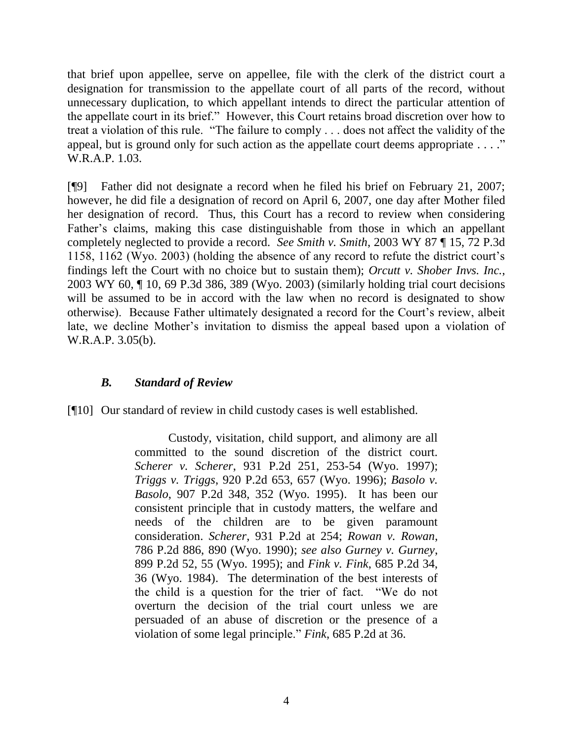that brief upon appellee, serve on appellee, file with the clerk of the district court a designation for transmission to the appellate court of all parts of the record, without unnecessary duplication, to which appellant intends to direct the particular attention of the appellate court in its brief." However, this Court retains broad discretion over how to treat a violation of this rule. "The failure to comply . . . does not affect the validity of the appeal, but is ground only for such action as the appellate court deems appropriate  $\dots$ ." W.R.A.P. 1.03.

[¶9] Father did not designate a record when he filed his brief on February 21, 2007; however, he did file a designation of record on April 6, 2007, one day after Mother filed her designation of record. Thus, this Court has a record to review when considering Father's claims, making this case distinguishable from those in which an appellant completely neglected to provide a record. *See Smith v. Smith*, 2003 WY 87 ¶ 15, 72 P.3d 1158, 1162 (Wyo. 2003) (holding the absence of any record to refute the district court"s findings left the Court with no choice but to sustain them); *Orcutt v. Shober Invs. Inc.*, 2003 WY 60, ¶ 10, 69 P.3d 386, 389 (Wyo. 2003) (similarly holding trial court decisions will be assumed to be in accord with the law when no record is designated to show otherwise). Because Father ultimately designated a record for the Court"s review, albeit late, we decline Mother"s invitation to dismiss the appeal based upon a violation of W.R.A.P. 3.05(b).

## *B. Standard of Review*

[¶10] Our standard of review in child custody cases is well established.

Custody, visitation, child support, and alimony are all committed to the sound discretion of the district court. *Scherer v. Scherer*, 931 P.2d 251, 253-54 (Wyo. 1997); *Triggs v. Triggs*, 920 P.2d 653, 657 (Wyo. 1996); *Basolo v. Basolo*, 907 P.2d 348, 352 (Wyo. 1995). It has been our consistent principle that in custody matters, the welfare and needs of the children are to be given paramount consideration. *Scherer*, 931 P.2d at 254; *Rowan v. Rowan*, 786 P.2d 886, 890 (Wyo. 1990); *see also Gurney v. Gurney*, 899 P.2d 52, 55 (Wyo. 1995); and *Fink v. Fink*, 685 P.2d 34, 36 (Wyo. 1984). The determination of the best interests of the child is a question for the trier of fact. "We do not overturn the decision of the trial court unless we are persuaded of an abuse of discretion or the presence of a violation of some legal principle." *Fink*, 685 P.2d at 36.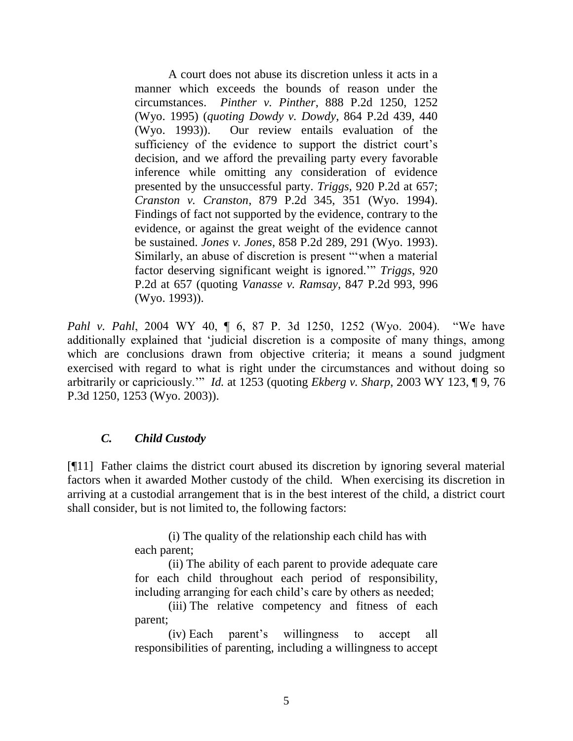A court does not abuse its discretion unless it acts in a manner which exceeds the bounds of reason under the circumstances. *Pinther v. Pinther*, 888 P.2d 1250, 1252 (Wyo. 1995) (*quoting Dowdy v. Dowdy*, 864 P.2d 439, 440 (Wyo. 1993)). Our review entails evaluation of the sufficiency of the evidence to support the district court's decision, and we afford the prevailing party every favorable inference while omitting any consideration of evidence presented by the unsuccessful party. *Triggs*, 920 P.2d at 657; *Cranston v. Cranston*, 879 P.2d 345, 351 (Wyo. 1994). Findings of fact not supported by the evidence, contrary to the evidence, or against the great weight of the evidence cannot be sustained. *Jones v. Jones*, 858 P.2d 289, 291 (Wyo. 1993). Similarly, an abuse of discretion is present ""when a material factor deserving significant weight is ignored."" *Triggs*, 920 P.2d at 657 (quoting *Vanasse v. Ramsay*, 847 P.2d 993, 996 (Wyo. 1993)).

*Pahl v. Pahl*, 2004 WY 40, ¶ 6, 87 P. 3d 1250, 1252 (Wyo. 2004). "We have additionally explained that "judicial discretion is a composite of many things, among which are conclusions drawn from objective criteria; it means a sound judgment exercised with regard to what is right under the circumstances and without doing so arbitrarily or capriciously."" *Id.* at 1253 (quoting *Ekberg v. Sharp*, 2003 WY 123, ¶ 9, 76 P.3d 1250, 1253 (Wyo. 2003)).

## *C. Child Custody*

[¶11] Father claims the district court abused its discretion by ignoring several material factors when it awarded Mother custody of the child. When exercising its discretion in arriving at a custodial arrangement that is in the best interest of the child, a district court shall consider, but is not limited to, the following factors:

> (i) The quality of the relationship each child has with each parent;

(ii) The ability of each parent to provide adequate care for each child throughout each period of responsibility, including arranging for each child's care by others as needed;

(iii) The relative competency and fitness of each parent;

(iv) Each parent"s willingness to accept all responsibilities of parenting, including a willingness to accept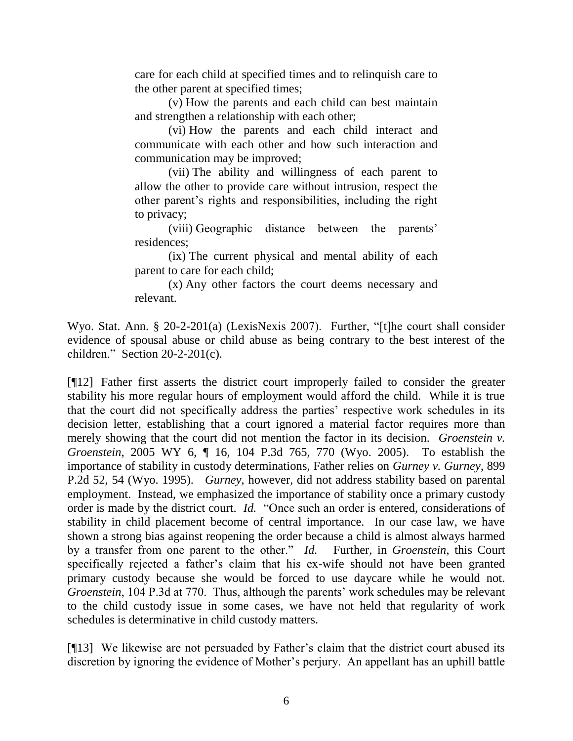care for each child at specified times and to relinquish care to the other parent at specified times;

(v) How the parents and each child can best maintain and strengthen a relationship with each other;

(vi) How the parents and each child interact and communicate with each other and how such interaction and communication may be improved;

(vii) The ability and willingness of each parent to allow the other to provide care without intrusion, respect the other parent"s rights and responsibilities, including the right to privacy;

(viii) Geographic distance between the parents" residences;

(ix) The current physical and mental ability of each parent to care for each child;

(x) Any other factors the court deems necessary and relevant.

Wyo. Stat. Ann. § 20-2-201(a) (LexisNexis 2007). Further, "[t]he court shall consider evidence of spousal abuse or child abuse as being contrary to the best interest of the children." Section 20-2-201(c).

[¶12] Father first asserts the district court improperly failed to consider the greater stability his more regular hours of employment would afford the child. While it is true that the court did not specifically address the parties' respective work schedules in its decision letter, establishing that a court ignored a material factor requires more than merely showing that the court did not mention the factor in its decision. *Groenstein v. Groenstein*, 2005 WY 6, ¶ 16, 104 P.3d 765, 770 (Wyo. 2005). To establish the importance of stability in custody determinations, Father relies on *Gurney v. Gurney*, 899 P.2d 52, 54 (Wyo. 1995). *Gurney*, however, did not address stability based on parental employment. Instead, we emphasized the importance of stability once a primary custody order is made by the district court. *Id.* "Once such an order is entered, considerations of stability in child placement become of central importance. In our case law, we have shown a strong bias against reopening the order because a child is almost always harmed by a transfer from one parent to the other." *Id.* Further, in *Groenstein*, this Court specifically rejected a father"s claim that his ex-wife should not have been granted primary custody because she would be forced to use daycare while he would not. *Groenstein*, 104 P.3d at 770. Thus, although the parents' work schedules may be relevant to the child custody issue in some cases, we have not held that regularity of work schedules is determinative in child custody matters.

[¶13] We likewise are not persuaded by Father"s claim that the district court abused its discretion by ignoring the evidence of Mother's perjury. An appellant has an uphill battle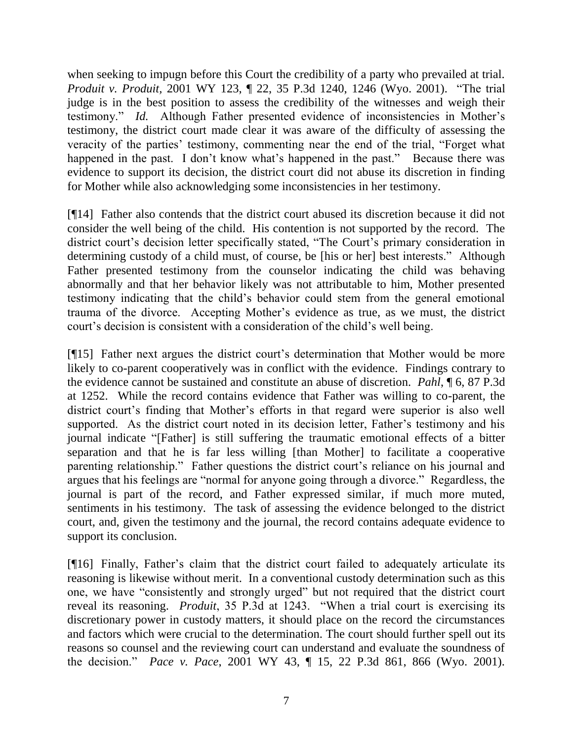when seeking to impugn before this Court the credibility of a party who prevailed at trial. *Produit v. Produit,* 2001 WY 123, ¶ 22, 35 P.3d 1240, 1246 (Wyo. 2001). "The trial judge is in the best position to assess the credibility of the witnesses and weigh their testimony." *Id.* Although Father presented evidence of inconsistencies in Mother's testimony, the district court made clear it was aware of the difficulty of assessing the veracity of the parties' testimony, commenting near the end of the trial, "Forget what happened in the past. I don't know what's happened in the past." Because there was evidence to support its decision, the district court did not abuse its discretion in finding for Mother while also acknowledging some inconsistencies in her testimony.

[¶14] Father also contends that the district court abused its discretion because it did not consider the well being of the child. His contention is not supported by the record. The district court's decision letter specifically stated, "The Court's primary consideration in determining custody of a child must, of course, be [his or her] best interests." Although Father presented testimony from the counselor indicating the child was behaving abnormally and that her behavior likely was not attributable to him, Mother presented testimony indicating that the child"s behavior could stem from the general emotional trauma of the divorce. Accepting Mother"s evidence as true, as we must, the district court's decision is consistent with a consideration of the child's well being.

[¶15] Father next argues the district court"s determination that Mother would be more likely to co-parent cooperatively was in conflict with the evidence. Findings contrary to the evidence cannot be sustained and constitute an abuse of discretion. *Pahl*, ¶ 6, 87 P.3d at 1252. While the record contains evidence that Father was willing to co-parent, the district court's finding that Mother's efforts in that regard were superior is also well supported. As the district court noted in its decision letter, Father's testimony and his journal indicate "[Father] is still suffering the traumatic emotional effects of a bitter separation and that he is far less willing [than Mother] to facilitate a cooperative parenting relationship." Father questions the district court's reliance on his journal and argues that his feelings are "normal for anyone going through a divorce." Regardless, the journal is part of the record, and Father expressed similar, if much more muted, sentiments in his testimony. The task of assessing the evidence belonged to the district court, and, given the testimony and the journal, the record contains adequate evidence to support its conclusion.

[¶16] Finally, Father"s claim that the district court failed to adequately articulate its reasoning is likewise without merit. In a conventional custody determination such as this one, we have "consistently and strongly urged" but not required that the district court reveal its reasoning. *Produit*, 35 P.3d at 1243. "When a trial court is exercising its discretionary power in custody matters, it should place on the record the circumstances and factors which were crucial to the determination. The court should further spell out its reasons so counsel and the reviewing court can understand and evaluate the soundness of the decision." *Pace v. Pace*, 2001 WY 43, ¶ 15, 22 P.3d 861, 866 (Wyo. 2001).